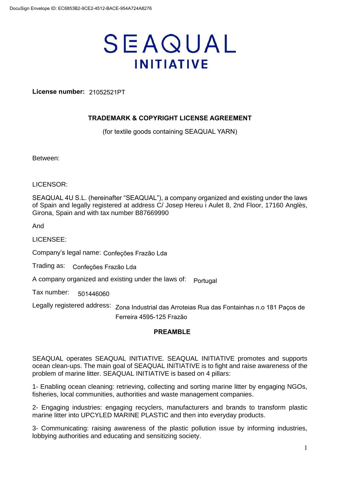# SEAQUAL **INITIATIVE**

**License number:** 21052521PT

# **TRADEMARK & COPYRIGHT LICENSE AGREEMENT**

(for textile goods containing SEAQUAL YARN)

Between:

LICENSOR:

SEAQUAL 4U S.L. (hereinafter "SEAQUAL"), a company organized and existing under the laws of Spain and legally registered at address C/ Josep Hereu i Aulet 8, 2nd Floor, 17160 Anglès, Girona, Spain and with tax number B87669990

And

LICENSEE:

Company's legal name: Confeções Frazão Lda

Trading as: Confeções Frazão Lda

A company organized and existing under the laws of: Portugal

Tax number: 501446060

Legally registered address: Zona Industrial das Arroteias Rua das Fontainhas n.o 181 Paços de Ferreira 4595-125 Frazão

# **PREAMBLE**

SEAQUAL operates SEAQUAL INITIATIVE. SEAQUAL INITIATIVE promotes and supports ocean clean-ups. The main goal of SEAQUAL INITIATIVE is to fight and raise awareness of the problem of marine litter. SEAQUAL INITIATIVE is based on 4 pillars:

1- Enabling ocean cleaning: retrieving, collecting and sorting marine litter by engaging NGOs, fisheries, local communities, authorities and waste management companies.

2- Engaging industries: engaging recyclers, manufacturers and brands to transform plastic marine litter into UPCYLED MARINE PLASTIC and then into everyday products.

3- Communicating: raising awareness of the plastic pollution issue by informing industries, lobbying authorities and educating and sensitizing society.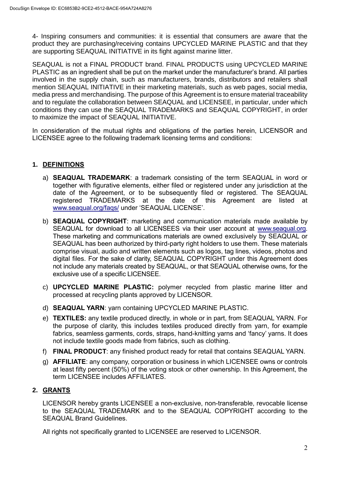4- Inspiring consumers and communities: it is essential that consumers are aware that the product they are purchasing/receiving contains UPCYCLED MARINE PLASTIC and that they are supporting SEAQUAL INITIATIVE in its fight against marine litter.

SEAQUAL is not a FINAL PRODUCT brand. FINAL PRODUCTS using UPCYCLED MARINE PLASTIC as an ingredient shall be put on the market under the manufacturer's brand. All parties involved in the supply chain, such as manufacturers, brands, distributors and retailers shall mention SEAQUAL INITIATIVE in their marketing materials, such as web pages, social media, media press and merchandising. The purpose of this Agreement is to ensure material traceability and to regulate the collaboration between SEAQUAL and LICENSEE, in particular, under which conditions they can use the SEAQUAL TRADEMARKS and SEAQUAL COPYRIGHT, in order to maximize the impact of SEAQUAL INITIATIVE.

In consideration of the mutual rights and obligations of the parties herein, LICENSOR and LICENSEE agree to the following trademark licensing terms and conditions:

# **1. DEFINITIONS**

- a) **SEAQUAL TRADEMARK**: a trademark consisting of the term SEAQUAL in word or together with figurative elements, either filed or registered under any jurisdiction at the date of the Agreement, or to be subsequently filed or registered. The SEAQUAL registered TRADEMARKS at the date of this Agreement are listed at [www.seaqual.org/faqs/](http://www.seaqual.org/faqs/) under 'SEAQUAL LICENSE'.
- b) **SEAQUAL COPYRIGHT**: marketing and communication materials made available by SEAQUAL for download to all LICENSEES via their user account at [www.seaqual.org.](http://www.seaqual.org/) These marketing and communications materials are owned exclusively by SEAQUAL or SEAQUAL has been authorized by third-party right holders to use them. These materials comprise visual, audio and written elements such as logos, tag lines, videos, photos and digital files. For the sake of clarity, SEAQUAL COPYRIGHT under this Agreement does not include any materials created by SEAQUAL, or that SEAQUAL otherwise owns, for the exclusive use of a specific LICENSEE.
- c) **UPCYCLED MARINE PLASTIC:** polymer recycled from plastic marine litter and processed at recycling plants approved by LICENSOR.
- d) **SEAQUAL YARN**: yarn containing UPCYCLED MARINE PLASTIC.
- e) **TEXTILES:** any textile produced directly, in whole or in part, from SEAQUAL YARN. For the purpose of clarity, this includes textiles produced directly from yarn, for example fabrics, seamless garments, cords, straps, hand-knitting yarns and 'fancy' yarns. It does not include textile goods made from fabrics, such as clothing.
- f) **FINAL PRODUCT**: any finished product ready for retail that contains SEAQUAL YARN.
- g) **AFFILIATE**: any company, corporation or business in which LICENSEE owns or controls at least fifty percent (50%) of the voting stock or other ownership. In this Agreement, the term LICENSEE includes AFFILIATES.

# **2. GRANTS**

LICENSOR hereby grants LICENSEE a non-exclusive, non-transferable, revocable license to the SEAQUAL TRADEMARK and to the SEAQUAL COPYRIGHT according to the SEAQUAL Brand Guidelines.

All rights not specifically granted to LICENSEE are reserved to LICENSOR.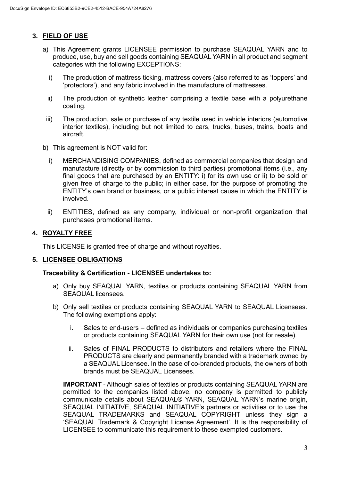# **3. FIELD OF USE**

- a) This Agreement grants LICENSEE permission to purchase SEAQUAL YARN and to produce, use, buy and sell goods containing SEAQUAL YARN in all product and segment categories with the following EXCEPTIONS:
	- i) The production of mattress ticking, mattress covers (also referred to as 'toppers' and 'protectors'), and any fabric involved in the manufacture of mattresses.
	- ii) The production of synthetic leather comprising a textile base with a polyurethane coating.
- iii) The production, sale or purchase of any textile used in vehicle interiors (automotive interior textiles), including but not limited to cars, trucks, buses, trains, boats and aircraft.
- b) This agreement is NOT valid for:
	- i) MERCHANDISING COMPANIES, defined as commercial companies that design and manufacture (directly or by commission to third parties) promotional items (i.e., any final goods that are purchased by an ENTITY: i) for its own use or ii) to be sold or given free of charge to the public; in either case, for the purpose of promoting the ENTITY's own brand or business, or a public interest cause in which the ENTITY is involved.
	- ii) ENTITIES, defined as any company, individual or non-profit organization that purchases promotional items.

#### **4. ROYALTY FREE**

This LICENSE is granted free of charge and without royalties.

#### **5. LICENSEE OBLIGATIONS**

#### **Traceability & Certification - LICENSEE undertakes to:**

- a) Only buy SEAQUAL YARN, textiles or products containing SEAQUAL YARN from SEAQUAL licensees.
- b) Only sell textiles or products containing SEAQUAL YARN to SEAQUAL Licensees. The following exemptions apply:
	- i. Sales to end-users defined as individuals or companies purchasing textiles or products containing SEAQUAL YARN for their own use (not for resale).
	- ii. Sales of FINAL PRODUCTS to distributors and retailers where the FINAL PRODUCTS are clearly and permanently branded with a trademark owned by a SEAQUAL Licensee. In the case of co-branded products, the owners of both brands must be SEAQUAL Licensees.

**IMPORTANT** - Although sales of textiles or products containing SEAQUAL YARN are permitted to the companies listed above, no company is permitted to publicly communicate details about SEAQUAL® YARN, SEAQUAL YARN's marine origin, SEAQUAL INITIATIVE, SEAQUAL INITIATIVE's partners or activities or to use the SEAQUAL TRADEMARKS and SEAQUAL COPYRIGHT unless they sign a 'SEAQUAL Trademark & Copyright License Agreement'. It is the responsibility of LICENSEE to communicate this requirement to these exempted customers.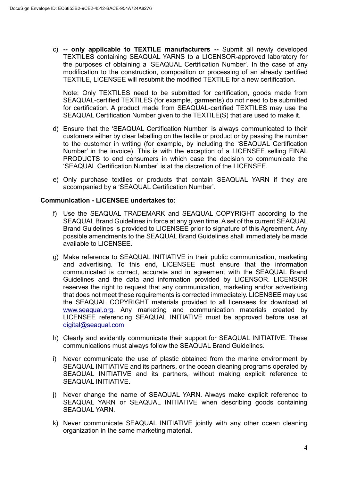c) **-- only applicable to TEXTILE manufacturers --** Submit all newly developed TEXTILES containing SEAQUAL YARNS to a LICENSOR-approved laboratory for the purposes of obtaining a 'SEAQUAL Certification Number'. In the case of any modification to the construction, composition or processing of an already certified TEXTILE, LICENSEE will resubmit the modified TEXTILE for a new certification.

Note: Only TEXTILES need to be submitted for certification, goods made from SEAQUAL-certified TEXTILES (for example, garments) do not need to be submitted for certification. A product made from SEAQUAL-certified TEXTILES may use the SEAQUAL Certification Number given to the TEXTILE(S) that are used to make it.

- d) Ensure that the 'SEAQUAL Certification Number' is always communicated to their customers either by clear labelling on the textile or product or by passing the number to the customer in writing (for example, by including the 'SEAQUAL Certification Number' in the invoice). This is with the exception of a LICENSEE selling FINAL PRODUCTS to end consumers in which case the decision to communicate the 'SEAQUAL Certification Number' is at the discretion of the LICENSEE.
- e) Only purchase textiles or products that contain SEAQUAL YARN if they are accompanied by a 'SEAQUAL Certification Number'.

#### **Communication - LICENSEE undertakes to:**

- f) Use the SEAQUAL TRADEMARK and SEAQUAL COPYRIGHT according to the SEAQUAL Brand Guidelines in force at any given time. A set of the current SEAQUAL Brand Guidelines is provided to LICENSEE prior to signature of this Agreement. Any possible amendments to the SEAQUAL Brand Guidelines shall immediately be made available to LICENSEE.
- g) Make reference to SEAQUAL INITIATIVE in their public communication, marketing and advertising. To this end, LICENSEE must ensure that the information communicated is correct, accurate and in agreement with the SEAQUAL Brand Guidelines and the data and information provided by LICENSOR. LICENSOR reserves the right to request that any communication, marketing and/or advertising that does not meet these requirements is corrected immediately. LICENSEE may use the SEAQUAL COPYRIGHT materials provided to all licensees for download at [www.seaqual.org.](http://www.seaqual.org/) Any marketing and communication materials created by LICENSEE referencing SEAQUAL INITIATIVE must be approved before use at [digital@seaqual.com](mailto:digital@seaqual.com)
- h) Clearly and evidently communicate their support for SEAQUAL INITIATIVE. These communications must always follow the SEAQUAL Brand Guidelines.
- i) Never communicate the use of plastic obtained from the marine environment by SEAQUAL INITIATIVE and its partners, or the ocean cleaning programs operated by SEAQUAL INITIATIVE and its partners, without making explicit reference to SEAQUAL INITIATIVE.
- j) Never change the name of SEAQUAL YARN. Always make explicit reference to SEAQUAL YARN or SEAQUAL INITIATIVE when describing goods containing SEAQUAL YARN.
- k) Never communicate SEAQUAL INITIATIVE jointly with any other ocean cleaning organization in the same marketing material.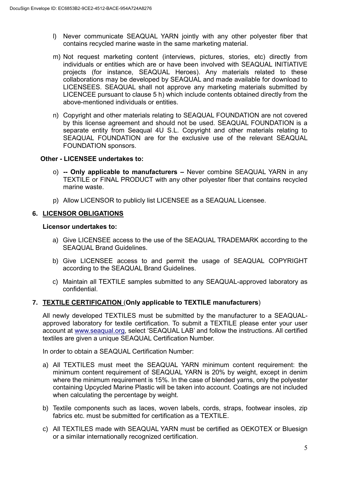- l) Never communicate SEAQUAL YARN jointly with any other polyester fiber that contains recycled marine waste in the same marketing material.
- m) Not request marketing content (interviews, pictures, stories, etc) directly from individuals or entities which are or have been involved with SEAQUAL INITIATIVE projects (for instance, SEAQUAL Heroes). Any materials related to these collaborations may be developed by SEAQUAL and made available for download to LICENSEES. SEAQUAL shall not approve any marketing materials submitted by LICENCEE pursuant to clause 5 h) which include contents obtained directly from the above-mentioned individuals or entities.
- n) Copyright and other materials relating to SEAQUAL FOUNDATION are not covered by this license agreement and should not be used. SEAQUAL FOUNDATION is a separate entity from Seaqual 4U S.L. Copyright and other materials relating to SEAQUAL FOUNDATION are for the exclusive use of the relevant SEAQUAL FOUNDATION sponsors.

#### **Other - LICENSEE undertakes to:**

- o) **-- Only applicable to manufacturers –** Never combine SEAQUAL YARN in any TEXTILE or FINAL PRODUCT with any other polyester fiber that contains recycled marine waste.
- p) Allow LICENSOR to publicly list LICENSEE as a SEAQUAL Licensee.

# **6. LICENSOR OBLIGATIONS**

#### **Licensor undertakes to:**

- a) Give LICENSEE access to the use of the SEAQUAL TRADEMARK according to the SEAQUAL Brand Guidelines.
- b) Give LICENSEE access to and permit the usage of SEAQUAL COPYRIGHT according to the SEAQUAL Brand Guidelines.
- c) Maintain all TEXTILE samples submitted to any SEAQUAL-approved laboratory as confidential.

# **7. TEXTILE CERTIFICATION** (**Only applicable to TEXTILE manufacturers**)

All newly developed TEXTILES must be submitted by the manufacturer to a SEAQUALapproved laboratory for textile certification. To submit a TEXTILE please enter your user account at [www.seaqual.org,](http://www.seaqual.org/) select 'SEAQUAL LAB' and follow the instructions. All certified textiles are given a unique SEAQUAL Certification Number.

In order to obtain a SEAQUAL Certification Number:

- a) All TEXTILES must meet the SEAQUAL YARN minimum content requirement: the minimum content requirement of SEAQUAL YARN is 20% by weight, except in denim where the minimum requirement is 15%. In the case of blended yarns, only the polyester containing Upcycled Marine Plastic will be taken into account. Coatings are not included when calculating the percentage by weight.
- b) Textile components such as laces, woven labels, cords, straps, footwear insoles, zip fabrics etc. must be submitted for certification as a TEXTILE.
- c) All TEXTILES made with SEAQUAL YARN must be certified as OEKOTEX or Bluesign or a similar internationally recognized certification.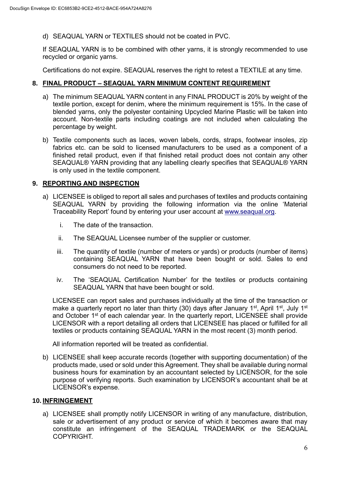d) SEAQUAL YARN or TEXTILES should not be coated in PVC.

If SEAQUAL YARN is to be combined with other yarns, it is strongly recommended to use recycled or organic yarns.

Certifications do not expire. SEAQUAL reserves the right to retest a TEXTILE at any time.

### **8. FINAL PRODUCT – SEAQUAL YARN MINIMUM CONTENT REQUIREMENT**

- a) The minimum SEAQUAL YARN content in any FINAL PRODUCT is 20% by weight of the textile portion, except for denim, where the minimum requirement is 15%. In the case of blended yarns, only the polyester containing Upcycled Marine Plastic will be taken into account. Non-textile parts including coatings are not included when calculating the percentage by weight.
- b) Textile components such as laces, woven labels, cords, straps, footwear insoles, zip fabrics etc. can be sold to licensed manufacturers to be used as a component of a finished retail product, even if that finished retail product does not contain any other SEAQUAL® YARN providing that any labelling clearly specifies that SEAQUAL® YARN is only used in the textile component.

#### **9. REPORTING AND INSPECTION**

- a) LICENSEE is obliged to report all sales and purchases of textiles and products containing SEAQUAL YARN by providing the following information via the online 'Material Traceability Report' found by entering your user account at [www.seaqual.org.](http://www.seaqual.org/)
	- i. The date of the transaction.
	- ii. The SEAQUAL Licensee number of the supplier or customer.
	- iii. The quantity of textile (number of meters or yards) or products (number of items) containing SEAQUAL YARN that have been bought or sold. Sales to end consumers do not need to be reported.
	- iv. The 'SEAQUAL Certification Number' for the textiles or products containing SEAQUAL YARN that have been bought or sold.

LICENSEE can report sales and purchases individually at the time of the transaction or make a quarterly report no later than thirty (30) days after January 1<sup>st</sup>, April 1<sup>st</sup>, July 1<sup>st</sup> and October 1<sup>st</sup> of each calendar year. In the quarterly report, LICENSEE shall provide LICENSOR with a report detailing all orders that LICENSEE has placed or fulfilled for all textiles or products containing SEAQUAL YARN in the most recent (3) month period.

All information reported will be treated as confidential.

b) LICENSEE shall keep accurate records (together with supporting documentation) of the products made, used or sold under this Agreement. They shall be available during normal business hours for examination by an accountant selected by LICENSOR, for the sole purpose of verifying reports. Such examination by LICENSOR's accountant shall be at LICENSOR's expense.

#### **10. INFRINGEMENT**

a) LICENSEE shall promptly notify LICENSOR in writing of any manufacture, distribution, sale or advertisement of any product or service of which it becomes aware that may constitute an infringement of the SEAQUAL TRADEMARK or the SEAQUAL COPYRIGHT.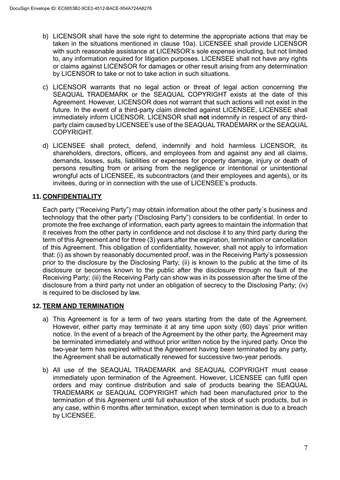- b) LICENSOR shall have the sole right to determine the appropriate actions that may be taken in the situations mentioned in clause 10a). LICENSEE shall provide LICENSOR with such reasonable assistance at LICENSOR's sole expense including, but not limited to, any information required for litigation purposes. LICENSEE shall not have any rights or claims against LICENSOR for damages or other result arising from any determination by LICENSOR to take or not to take action in such situations.
- c) LICENSOR warrants that no legal action or threat of legal action concerning the SEAQUAL TRADEMARK or the SEAQUAL COPYRIGHT exists at the date of this Agreement. However, LICENSOR does not warrant that such actions will not exist in the future. In the event of a third-party claim directed against LICENSEE, LICENSEE shall immediately inform LICENSOR. LICENSOR shall **not** indemnify in respect of any thirdparty claim caused by LICENSEE's use of the SEAQUAL TRADEMARK or the SEAQUAL COPYRIGHT.
- d) LICENSEE shall protect, defend, indemnify and hold harmless LICENSOR, its shareholders, directors, officers, and employees from and against any and all claims, demands, losses, suits, liabilities or expenses for property damage, injury or death of persons resulting from or arising from the negligence or intentional or unintentional wrongful acts of LICENSEE, its subcontractors (and their employees and agents), or its invitees, during or in connection with the use of LICENSEE's products.

# **11. CONFIDENTIALITY**

Each party ("Receiving Party") may obtain information about the other party´s business and technology that the other party ("Disclosing Party") considers to be confidential. In order to promote the free exchange of information, each party agrees to maintain the information that it receives from the other party in confidence and not disclose it to any third party during the term of this Agreement and for three (3) years after the expiration, termination or cancellation of this Agreement. This obligation of confidentiality, however, shall not apply to information that: (i) as shown by reasonably documented proof, was in the Receiving Party's possession prior to the disclosure by the Disclosing Party; (ii) is known to the public at the time of its disclosure or becomes known to the public after the disclosure through no fault of the Receiving Party; (iii) the Receiving Party can show was in its possession after the time of the disclosure from a third party not under an obligation of secrecy to the Disclosing Party; (iv) is required to be disclosed by law.

# **12. TERM AND TERMINATION**

- a) This Agreement is for a term of two years starting from the date of the Agreement. However, either party may terminate it at any time upon sixty (60) days' prior written notice. In the event of a breach of the Agreement by the other party, the Agreement may be terminated immediately and without prior written notice by the injured party. Once the two-year term has expired without the Agreement having been terminated by any party, the Agreement shall be automatically renewed for successive two-year periods.
- b) All use of the SEAQUAL TRADEMARK and SEAQUAL COPYRIGHT must cease immediately upon termination of the Agreement. However, LICENSEE can fulfil open orders and may continue distribution and sale of products bearing the SEAQUAL TRADEMARK or SEAQUAL COPYRIGHT which had been manufactured prior to the termination of this Agreement until full exhaustion of the stock of such products, but in any case, within 6 months after termination, except when termination is due to a breach by LICENSEE.